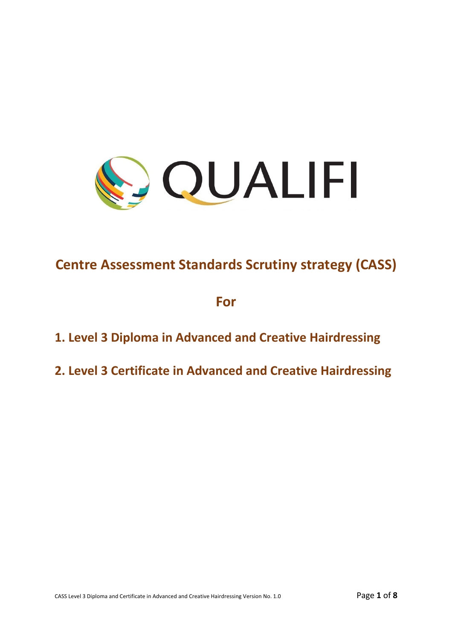

# **Centre Assessment Standards Scrutiny strategy (CASS)**

**For**

## **1. Level 3 Diploma in Advanced and Creative Hairdressing**

### **2. Level 3 Certificate in Advanced and Creative Hairdressing**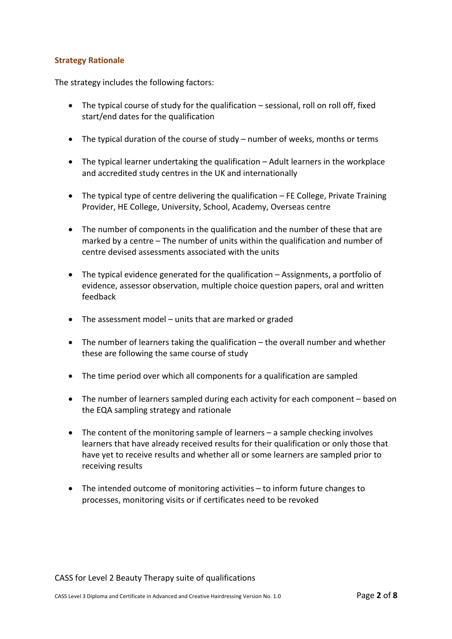#### **Strategy Rationale**

The strategy includes the following factors:

- The typical course of study for the qualification sessional, roll on roll off, fixed start/end dates for the qualification
- The typical duration of the course of study number of weeks, months or terms
- The typical learner undertaking the qualification Adult learners in the workplace and accredited study centres in the UK and internationally
- The typical type of centre delivering the qualification FE College, Private Training Provider, HE College, University, School, Academy, Overseas centre
- The number of components in the qualification and the number of these that are marked by a centre – The number of units within the qualification and number of centre devised assessments associated with the units
- The typical evidence generated for the qualification Assignments, a portfolio of evidence, assessor observation, multiple choice question papers, oral and written feedback
- The assessment model units that are marked or graded
- The number of learners taking the qualification the overall number and whether these are following the same course of study
- The time period over which all components for a qualification are sampled
- The number of learners sampled during each activity for each component based on the EQA sampling strategy and rationale
- The content of the monitoring sample of learners a sample checking involves learners that have already received results for their qualification or only those that have yet to receive results and whether all or some learners are sampled prior to receiving results
- The intended outcome of monitoring activities to inform future changes to processes, monitoring visits or if certificates need to be revoked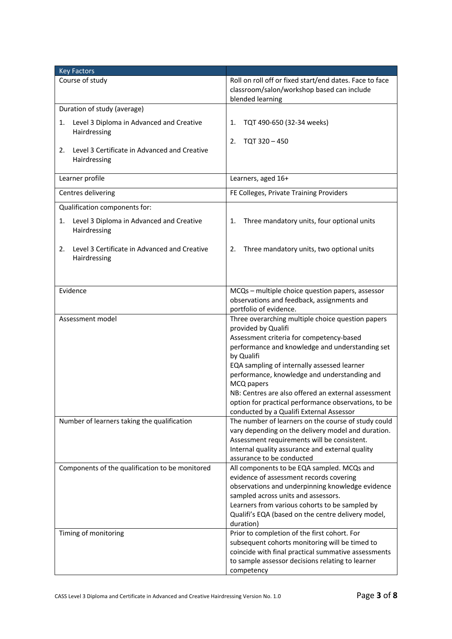| <b>Key Factors</b>                                                 |                                                                                                                                                                                                                                                                                                                                                                                                                                                               |
|--------------------------------------------------------------------|---------------------------------------------------------------------------------------------------------------------------------------------------------------------------------------------------------------------------------------------------------------------------------------------------------------------------------------------------------------------------------------------------------------------------------------------------------------|
| Course of study                                                    | Roll on roll off or fixed start/end dates. Face to face<br>classroom/salon/workshop based can include<br>blended learning                                                                                                                                                                                                                                                                                                                                     |
| Duration of study (average)                                        |                                                                                                                                                                                                                                                                                                                                                                                                                                                               |
| Level 3 Diploma in Advanced and Creative<br>1.<br>Hairdressing     | TQT 490-650 (32-34 weeks)<br>1.                                                                                                                                                                                                                                                                                                                                                                                                                               |
| Level 3 Certificate in Advanced and Creative<br>2.<br>Hairdressing | TQT 320 - 450<br>2.                                                                                                                                                                                                                                                                                                                                                                                                                                           |
| Learner profile                                                    | Learners, aged 16+                                                                                                                                                                                                                                                                                                                                                                                                                                            |
| Centres delivering                                                 | FE Colleges, Private Training Providers                                                                                                                                                                                                                                                                                                                                                                                                                       |
| Qualification components for:                                      |                                                                                                                                                                                                                                                                                                                                                                                                                                                               |
| Level 3 Diploma in Advanced and Creative<br>1.<br>Hairdressing     | Three mandatory units, four optional units<br>1.                                                                                                                                                                                                                                                                                                                                                                                                              |
| Level 3 Certificate in Advanced and Creative<br>2.<br>Hairdressing | Three mandatory units, two optional units<br>2.                                                                                                                                                                                                                                                                                                                                                                                                               |
|                                                                    |                                                                                                                                                                                                                                                                                                                                                                                                                                                               |
| Evidence                                                           | MCQs - multiple choice question papers, assessor<br>observations and feedback, assignments and<br>portfolio of evidence.                                                                                                                                                                                                                                                                                                                                      |
| Assessment model                                                   | Three overarching multiple choice question papers<br>provided by Qualifi<br>Assessment criteria for competency-based<br>performance and knowledge and understanding set<br>by Qualifi<br>EQA sampling of internally assessed learner<br>performance, knowledge and understanding and<br>MCQ papers<br>NB: Centres are also offered an external assessment<br>option for practical performance observations, to be<br>conducted by a Qualifi External Assessor |
| Number of learners taking the qualification                        | The number of learners on the course of study could<br>vary depending on the delivery model and duration.<br>Assessment requirements will be consistent.<br>Internal quality assurance and external quality<br>assurance to be conducted                                                                                                                                                                                                                      |
| Components of the qualification to be monitored                    | All components to be EQA sampled. MCQs and<br>evidence of assessment records covering<br>observations and underpinning knowledge evidence<br>sampled across units and assessors.<br>Learners from various cohorts to be sampled by<br>Qualifi's EQA (based on the centre delivery model,<br>duration)                                                                                                                                                         |
| Timing of monitoring                                               | Prior to completion of the first cohort. For<br>subsequent cohorts monitoring will be timed to<br>coincide with final practical summative assessments<br>to sample assessor decisions relating to learner<br>competency                                                                                                                                                                                                                                       |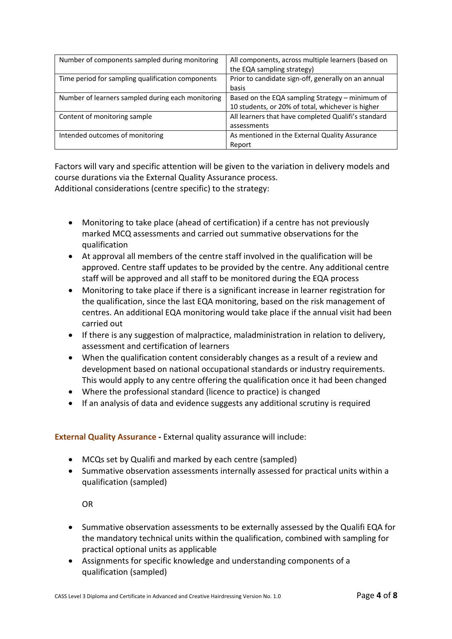| Number of components sampled during monitoring    | All components, across multiple learners (based on  |
|---------------------------------------------------|-----------------------------------------------------|
|                                                   | the EQA sampling strategy)                          |
| Time period for sampling qualification components | Prior to candidate sign-off, generally on an annual |
|                                                   | basis                                               |
| Number of learners sampled during each monitoring | Based on the EQA sampling Strategy - minimum of     |
|                                                   | 10 students, or 20% of total, whichever is higher   |
| Content of monitoring sample                      | All learners that have completed Qualifi's standard |
|                                                   | assessments                                         |
| Intended outcomes of monitoring                   | As mentioned in the External Quality Assurance      |
|                                                   | Report                                              |

Factors will vary and specific attention will be given to the variation in delivery models and course durations via the External Quality Assurance process. Additional considerations (centre specific) to the strategy:

- Monitoring to take place (ahead of certification) if a centre has not previously marked MCQ assessments and carried out summative observations for the qualification
- At approval all members of the centre staff involved in the qualification will be approved. Centre staff updates to be provided by the centre. Any additional centre staff will be approved and all staff to be monitored during the EQA process
- Monitoring to take place if there is a significant increase in learner registration for the qualification, since the last EQA monitoring, based on the risk management of centres. An additional EQA monitoring would take place if the annual visit had been carried out
- If there is any suggestion of malpractice, maladministration in relation to delivery, assessment and certification of learners
- When the qualification content considerably changes as a result of a review and development based on national occupational standards or industry requirements. This would apply to any centre offering the qualification once it had been changed
- Where the professional standard (licence to practice) is changed
- If an analysis of data and evidence suggests any additional scrutiny is required

### **External Quality Assurance -** External quality assurance will include:

- MCQs set by Qualifi and marked by each centre (sampled)
- Summative observation assessments internally assessed for practical units within a qualification (sampled)

OR

- Summative observation assessments to be externally assessed by the Qualifi EQA for the mandatory technical units within the qualification, combined with sampling for practical optional units as applicable
- Assignments for specific knowledge and understanding components of a qualification (sampled)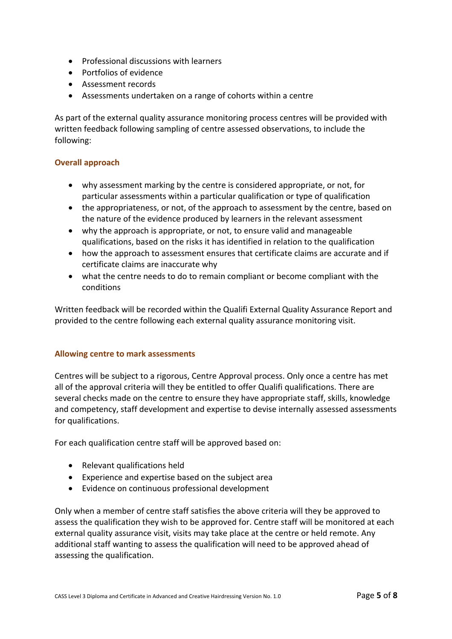- Professional discussions with learners
- Portfolios of evidence
- Assessment records
- Assessments undertaken on a range of cohorts within a centre

As part of the external quality assurance monitoring process centres will be provided with written feedback following sampling of centre assessed observations, to include the following:

#### **Overall approach**

- why assessment marking by the centre is considered appropriate, or not, for particular assessments within a particular qualification or type of qualification
- the appropriateness, or not, of the approach to assessment by the centre, based on the nature of the evidence produced by learners in the relevant assessment
- why the approach is appropriate, or not, to ensure valid and manageable qualifications, based on the risks it has identified in relation to the qualification
- how the approach to assessment ensures that certificate claims are accurate and if certificate claims are inaccurate why
- what the centre needs to do to remain compliant or become compliant with the conditions

Written feedback will be recorded within the Qualifi External Quality Assurance Report and provided to the centre following each external quality assurance monitoring visit.

#### **Allowing centre to mark assessments**

Centres will be subject to a rigorous, Centre Approval process. Only once a centre has met all of the approval criteria will they be entitled to offer Qualifi qualifications. There are several checks made on the centre to ensure they have appropriate staff, skills, knowledge and competency, staff development and expertise to devise internally assessed assessments for qualifications.

For each qualification centre staff will be approved based on:

- Relevant qualifications held
- Experience and expertise based on the subject area
- Evidence on continuous professional development

Only when a member of centre staff satisfies the above criteria will they be approved to assess the qualification they wish to be approved for. Centre staff will be monitored at each external quality assurance visit, visits may take place at the centre or held remote. Any additional staff wanting to assess the qualification will need to be approved ahead of assessing the qualification.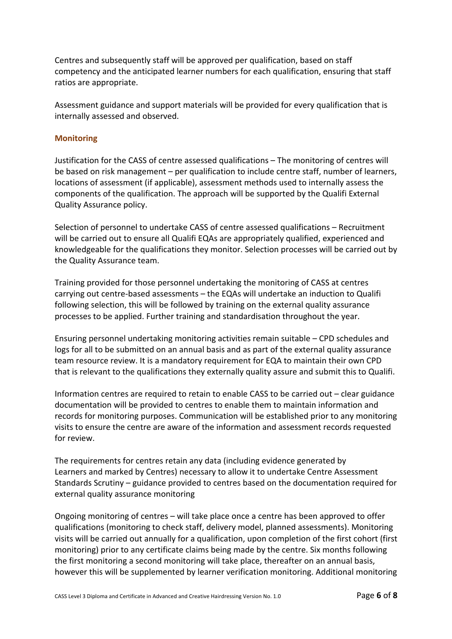Centres and subsequently staff will be approved per qualification, based on staff competency and the anticipated learner numbers for each qualification, ensuring that staff ratios are appropriate.

Assessment guidance and support materials will be provided for every qualification that is internally assessed and observed.

#### **Monitoring**

Justification for the CASS of centre assessed qualifications – The monitoring of centres will be based on risk management – per qualification to include centre staff, number of learners, locations of assessment (if applicable), assessment methods used to internally assess the components of the qualification. The approach will be supported by the Qualifi External Quality Assurance policy.

Selection of personnel to undertake CASS of centre assessed qualifications – Recruitment will be carried out to ensure all Qualifi EQAs are appropriately qualified, experienced and knowledgeable for the qualifications they monitor. Selection processes will be carried out by the Quality Assurance team.

Training provided for those personnel undertaking the monitoring of CASS at centres carrying out centre-based assessments – the EQAs will undertake an induction to Qualifi following selection, this will be followed by training on the external quality assurance processes to be applied. Further training and standardisation throughout the year.

Ensuring personnel undertaking monitoring activities remain suitable – CPD schedules and logs for all to be submitted on an annual basis and as part of the external quality assurance team resource review. It is a mandatory requirement for EQA to maintain their own CPD that is relevant to the qualifications they externally quality assure and submit this to Qualifi.

Information centres are required to retain to enable CASS to be carried out – clear guidance documentation will be provided to centres to enable them to maintain information and records for monitoring purposes. Communication will be established prior to any monitoring visits to ensure the centre are aware of the information and assessment records requested for review.

The requirements for centres retain any data (including evidence generated by Learners and marked by Centres) necessary to allow it to undertake Centre Assessment Standards Scrutiny – guidance provided to centres based on the documentation required for external quality assurance monitoring

Ongoing monitoring of centres – will take place once a centre has been approved to offer qualifications (monitoring to check staff, delivery model, planned assessments). Monitoring visits will be carried out annually for a qualification, upon completion of the first cohort (first monitoring) prior to any certificate claims being made by the centre. Six months following the first monitoring a second monitoring will take place, thereafter on an annual basis, however this will be supplemented by learner verification monitoring. Additional monitoring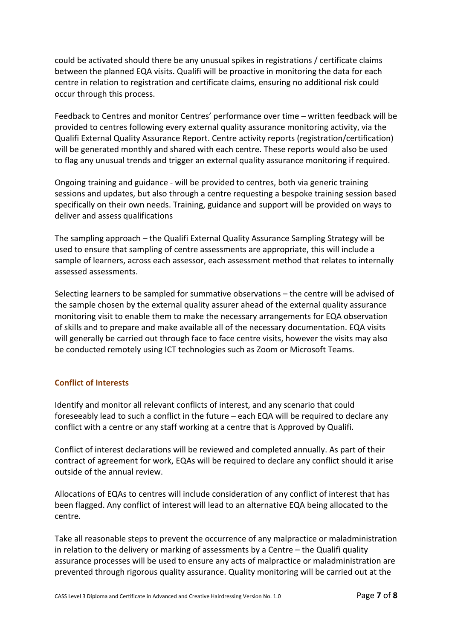could be activated should there be any unusual spikes in registrations / certificate claims between the planned EQA visits. Qualifi will be proactive in monitoring the data for each centre in relation to registration and certificate claims, ensuring no additional risk could occur through this process.

Feedback to Centres and monitor Centres' performance over time – written feedback will be provided to centres following every external quality assurance monitoring activity, via the Qualifi External Quality Assurance Report. Centre activity reports (registration/certification) will be generated monthly and shared with each centre. These reports would also be used to flag any unusual trends and trigger an external quality assurance monitoring if required.

Ongoing training and guidance - will be provided to centres, both via generic training sessions and updates, but also through a centre requesting a bespoke training session based specifically on their own needs. Training, guidance and support will be provided on ways to deliver and assess qualifications

The sampling approach – the Qualifi External Quality Assurance Sampling Strategy will be used to ensure that sampling of centre assessments are appropriate, this will include a sample of learners, across each assessor, each assessment method that relates to internally assessed assessments.

Selecting learners to be sampled for summative observations – the centre will be advised of the sample chosen by the external quality assurer ahead of the external quality assurance monitoring visit to enable them to make the necessary arrangements for EQA observation of skills and to prepare and make available all of the necessary documentation. EQA visits will generally be carried out through face to face centre visits, however the visits may also be conducted remotely using ICT technologies such as Zoom or Microsoft Teams.

#### **Conflict of Interests**

Identify and monitor all relevant conflicts of interest, and any scenario that could foreseeably lead to such a conflict in the future – each EQA will be required to declare any conflict with a centre or any staff working at a centre that is Approved by Qualifi.

Conflict of interest declarations will be reviewed and completed annually. As part of their contract of agreement for work, EQAs will be required to declare any conflict should it arise outside of the annual review.

Allocations of EQAs to centres will include consideration of any conflict of interest that has been flagged. Any conflict of interest will lead to an alternative EQA being allocated to the centre.

Take all reasonable steps to prevent the occurrence of any malpractice or maladministration in relation to the delivery or marking of assessments by a Centre – the Qualifi quality assurance processes will be used to ensure any acts of malpractice or maladministration are prevented through rigorous quality assurance. Quality monitoring will be carried out at the